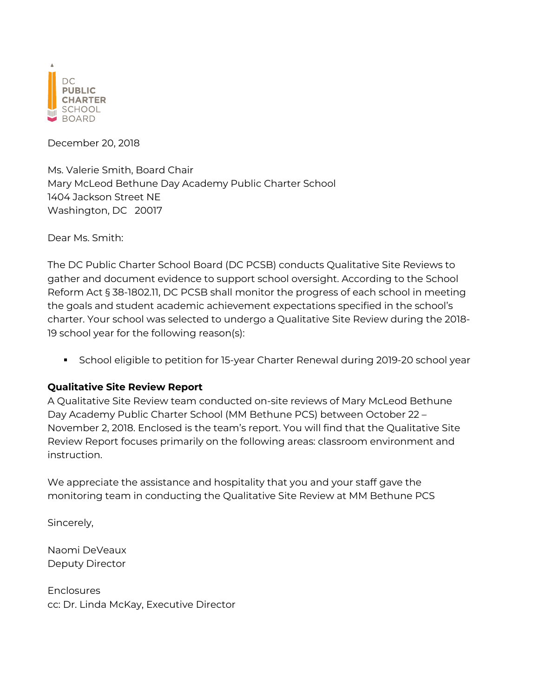

December 20, 2018

Ms. Valerie Smith, Board Chair Mary McLeod Bethune Day Academy Public Charter School 1404 Jackson Street NE Washington, DC 20017

Dear Ms. Smith:

The DC Public Charter School Board (DC PCSB) conducts Qualitative Site Reviews to gather and document evidence to support school oversight. According to the School Reform Act § 38-1802.11, DC PCSB shall monitor the progress of each school in meeting the goals and student academic achievement expectations specified in the school's charter. Your school was selected to undergo a Qualitative Site Review during the 2018- 19 school year for the following reason(s):

■ School eligible to petition for 15-year Charter Renewal during 2019-20 school year

### **Qualitative Site Review Report**

A Qualitative Site Review team conducted on-site reviews of Mary McLeod Bethune Day Academy Public Charter School (MM Bethune PCS) between October 22 – November 2, 2018. Enclosed is the team's report. You will find that the Qualitative Site Review Report focuses primarily on the following areas: classroom environment and instruction.

We appreciate the assistance and hospitality that you and your staff gave the monitoring team in conducting the Qualitative Site Review at MM Bethune PCS

Sincerely,

Naomi DeVeaux Deputy Director

**Enclosures** cc: Dr. Linda McKay, Executive Director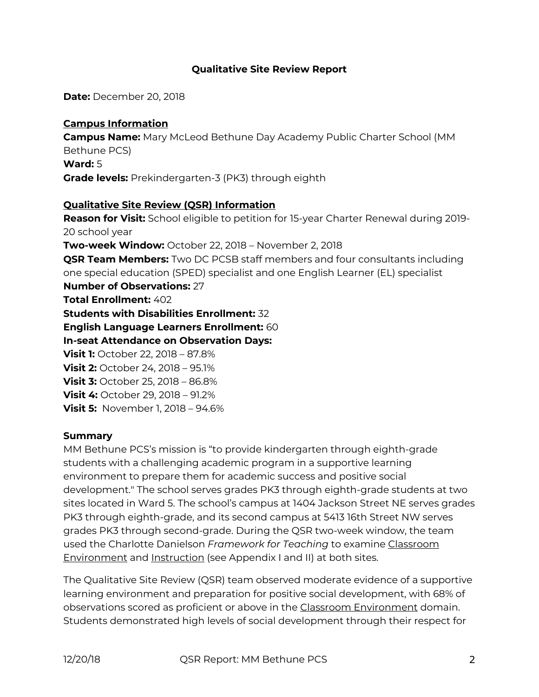### **Qualitative Site Review Report**

**Date:** December 20, 2018

### **Campus Information**

**Campus Name:** Mary McLeod Bethune Day Academy Public Charter School (MM Bethune PCS) **Ward:** 5 **Grade levels:** Prekindergarten-3 (PK3) through eighth

### **Qualitative Site Review (QSR) Information**

**Reason for Visit:** School eligible to petition for 15-year Charter Renewal during 2019- 20 school year **Two-week Window:** October 22, 2018 – November 2, 2018 **QSR Team Members:** Two DC PCSB staff members and four consultants including one special education (SPED) specialist and one English Learner (EL) specialist **Number of Observations:** 27 **Total Enrollment:** 402 **Students with Disabilities Enrollment:** 32 **English Language Learners Enrollment:** 60 **In-seat Attendance on Observation Days: Visit 1:** October 22, 2018 – 87.8% **Visit 2:** October 24, 2018 – 95.1% **Visit 3:** October 25, 2018 – 86.8% **Visit 4:** October 29, 2018 – 91.2% **Visit 5:** November 1, 2018 – 94.6%

#### **Summary**

MM Bethune PCS's mission is "to provide kindergarten through eighth-grade students with a challenging academic program in a supportive learning environment to prepare them for academic success and positive social development." The school serves grades PK3 through eighth-grade students at two sites located in Ward 5. The school's campus at 1404 Jackson Street NE serves grades PK3 through eighth-grade, and its second campus at 5413 16th Street NW serves grades PK3 through second-grade. During the QSR two-week window, the team used the Charlotte Danielson *Framework for Teaching* to examine Classroom Environment and Instruction (see Appendix I and II) at both sites.

The Qualitative Site Review (QSR) team observed moderate evidence of a supportive learning environment and preparation for positive social development, with 68% of observations scored as proficient or above in the Classroom Environment domain. Students demonstrated high levels of social development through their respect for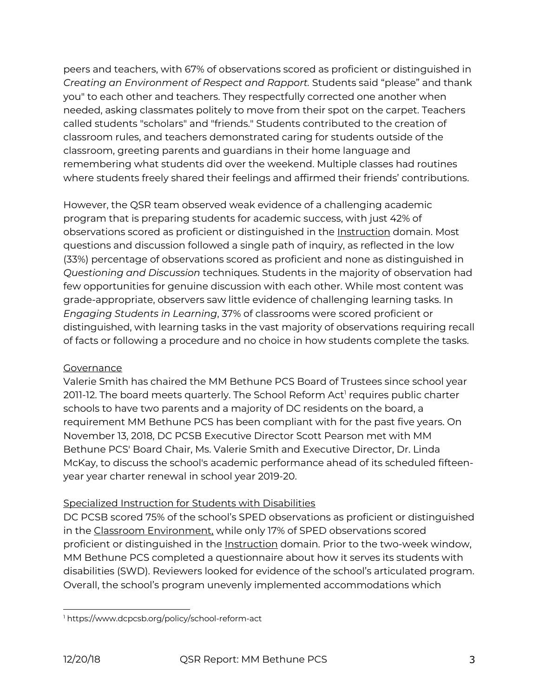peers and teachers, with 67% of observations scored as proficient or distinguished in *Creating an Environment of Respect and Rapport.* Students said "please" and thank you" to each other and teachers. They respectfully corrected one another when needed, asking classmates politely to move from their spot on the carpet. Teachers called students "scholars" and "friends." Students contributed to the creation of classroom rules, and teachers demonstrated caring for students outside of the classroom, greeting parents and guardians in their home language and remembering what students did over the weekend. Multiple classes had routines where students freely shared their feelings and affirmed their friends' contributions.

However, the QSR team observed weak evidence of a challenging academic program that is preparing students for academic success, with just 42% of observations scored as proficient or distinguished in the Instruction domain. Most questions and discussion followed a single path of inquiry, as reflected in the low (33%) percentage of observations scored as proficient and none as distinguished in *Questioning and Discussion* techniques. Students in the majority of observation had few opportunities for genuine discussion with each other. While most content was grade-appropriate, observers saw little evidence of challenging learning tasks. In *Engaging Students in Learning*, 37% of classrooms were scored proficient or distinguished, with learning tasks in the vast majority of observations requiring recall of facts or following a procedure and no choice in how students complete the tasks.

### **Governance**

Valerie Smith has chaired the MM Bethune PCS Board of Trustees since school year 2011-12. The board meets quarterly. The School Reform Act<sup>1</sup> requires public charter schools to have two parents and a majority of DC residents on the board, a requirement MM Bethune PCS has been compliant with for the past five years. On November 13, 2018, DC PCSB Executive Director Scott Pearson met with MM Bethune PCS' Board Chair, Ms. Valerie Smith and Executive Director, Dr. Linda McKay, to discuss the school's academic performance ahead of its scheduled fifteenyear year charter renewal in school year 2019-20.

## Specialized Instruction for Students with Disabilities

DC PCSB scored 75% of the school's SPED observations as proficient or distinguished in the Classroom Environment, while only 17% of SPED observations scored proficient or distinguished in the Instruction domain. Prior to the two-week window, MM Bethune PCS completed a questionnaire about how it serves its students with disabilities (SWD). Reviewers looked for evidence of the school's articulated program. Overall, the school's program unevenly implemented accommodations which

 <sup>1</sup> <https://www.dcpcsb.org/policy/school-reform-act>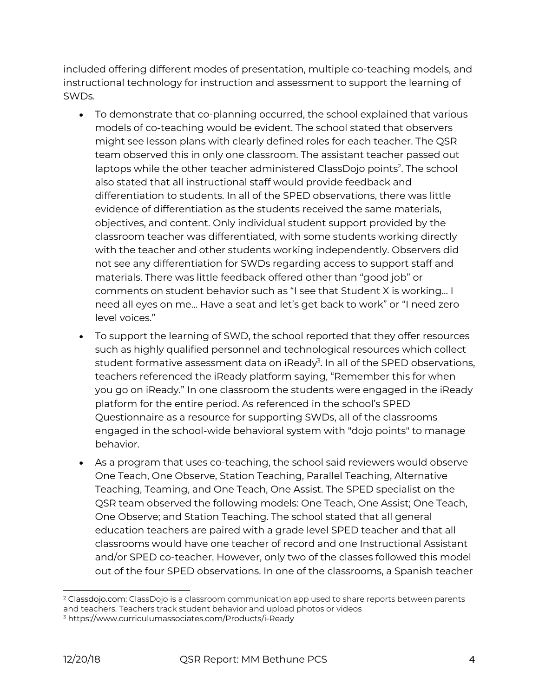included offering different modes of presentation, multiple co-teaching models, and instructional technology for instruction and assessment to support the learning of SWDs.

- To demonstrate that co-planning occurred, the school explained that various models of co-teaching would be evident. The school stated that observers might see lesson plans with clearly defined roles for each teacher. The QSR team observed this in only one classroom. The assistant teacher passed out laptops while the other teacher administered ClassDojo points<sup>2</sup>. The school also stated that all instructional staff would provide feedback and differentiation to students. In all of the SPED observations, there was little evidence of differentiation as the students received the same materials, objectives, and content. Only individual student support provided by the classroom teacher was differentiated, with some students working directly with the teacher and other students working independently. Observers did not see any differentiation for SWDs regarding access to support staff and materials. There was little feedback offered other than "good job" or comments on student behavior such as "I see that Student X is working… I need all eyes on me… Have a seat and let's get back to work" or "I need zero level voices."
- To support the learning of SWD, the school reported that they offer resources such as highly qualified personnel and technological resources which collect student formative assessment data on iReady $^{\text{3}}$ . In all of the SPED observations, teachers referenced the iReady platform saying, "Remember this for when you go on iReady." In one classroom the students were engaged in the iReady platform for the entire period. As referenced in the school's SPED Questionnaire as a resource for supporting SWDs, all of the classrooms engaged in the school-wide behavioral system with "dojo points" to manage behavior.
- As a program that uses co-teaching, the school said reviewers would observe One Teach, One Observe, Station Teaching, Parallel Teaching, Alternative Teaching, Teaming, and One Teach, One Assist. The SPED specialist on the QSR team observed the following models: One Teach, One Assist; One Teach, One Observe; and Station Teaching. The school stated that all general education teachers are paired with a grade level SPED teacher and that all classrooms would have one teacher of record and one Instructional Assistant and/or SPED co-teacher. However, only two of the classes followed this model out of the four SPED observations. In one of the classrooms, a Spanish teacher

 $2$  Classdojo.com: ClassDojo is a classroom communication app used to share reports between parents and teachers. Teachers track student behavior and upload photos or videos

<sup>3</sup> <https://www.curriculumassociates.com/Products/i-Ready>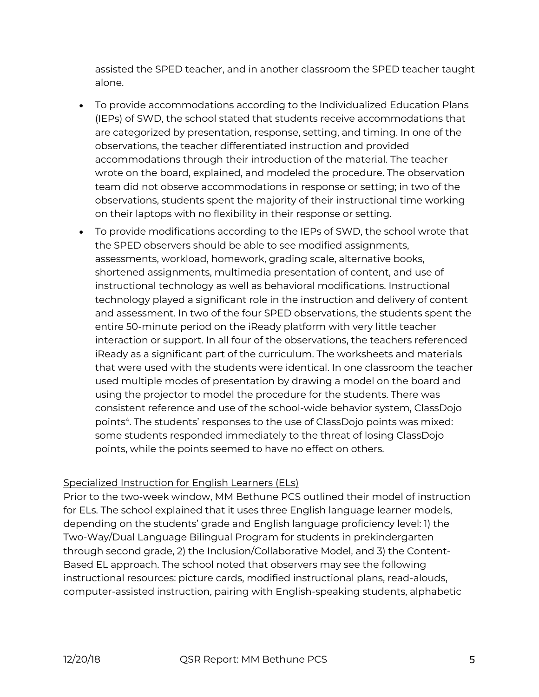assisted the SPED teacher, and in another classroom the SPED teacher taught alone.

- To provide accommodations according to the Individualized Education Plans (IEPs) of SWD, the school stated that students receive accommodations that are categorized by presentation, response, setting, and timing. In one of the observations, the teacher differentiated instruction and provided accommodations through their introduction of the material. The teacher wrote on the board, explained, and modeled the procedure. The observation team did not observe accommodations in response or setting; in two of the observations, students spent the majority of their instructional time working on their laptops with no flexibility in their response or setting.
- To provide modifications according to the IEPs of SWD, the school wrote that the SPED observers should be able to see modified assignments, assessments, workload, homework, grading scale, alternative books, shortened assignments, multimedia presentation of content, and use of instructional technology as well as behavioral modifications. Instructional technology played a significant role in the instruction and delivery of content and assessment. In two of the four SPED observations, the students spent the entire 50-minute period on the iReady platform with very little teacher interaction or support. In all four of the observations, the teachers referenced iReady as a significant part of the curriculum. The worksheets and materials that were used with the students were identical. In one classroom the teacher used multiple modes of presentation by drawing a model on the board and using the projector to model the procedure for the students. There was consistent reference and use of the school-wide behavior system, ClassDojo points<sup>4</sup>. The students' responses to the use of ClassDojo points was mixed: some students responded immediately to the threat of losing ClassDojo points, while the points seemed to have no effect on others.

# Specialized Instruction for English Learners (ELs)

Prior to the two-week window, MM Bethune PCS outlined their model of instruction for ELs. The school explained that it uses three English language learner models, depending on the students' grade and English language proficiency level: 1) the Two-Way/Dual Language Bilingual Program for students in prekindergarten through second grade, 2) the Inclusion/Collaborative Model, and 3) the Content-Based EL approach. The school noted that observers may see the following instructional resources: picture cards, modified instructional plans, read-alouds, computer-assisted instruction, pairing with English-speaking students, alphabetic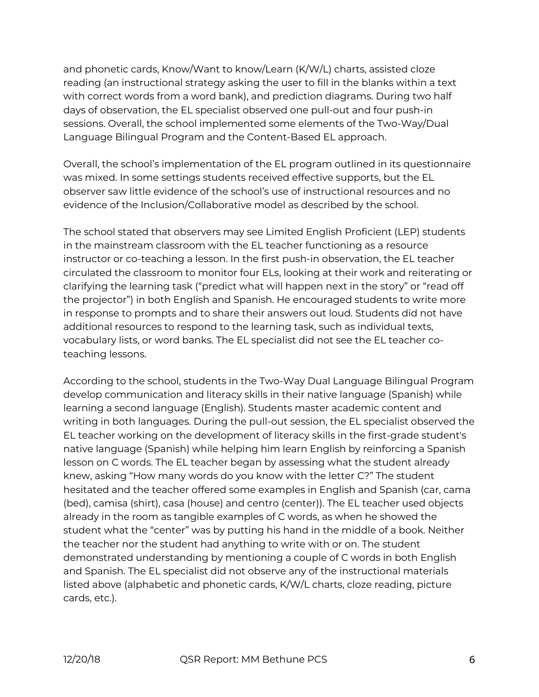and phonetic cards, Know/Want to know/Learn (K/W/L) charts, assisted cloze reading (an instructional strategy asking the user to fill in the blanks within a text with correct words from a word bank), and prediction diagrams. During two half days of observation, the EL specialist observed one pull-out and four push-in sessions. Overall, the school implemented some elements of the Two-Way/Dual Language Bilingual Program and the Content-Based EL approach.

Overall, the school's implementation of the EL program outlined in its questionnaire was mixed. In some settings students received effective supports, but the EL observer saw little evidence of the school's use of instructional resources and no evidence of the Inclusion/Collaborative model as described by the school.

The school stated that observers may see Limited English Proficient (LEP) students in the mainstream classroom with the EL teacher functioning as a resource instructor or co-teaching a lesson. In the first push-in observation, the EL teacher circulated the classroom to monitor four ELs, looking at their work and reiterating or clarifying the learning task ("predict what will happen next in the story" or "read off the projector") in both English and Spanish. He encouraged students to write more in response to prompts and to share their answers out loud. Students did not have additional resources to respond to the learning task, such as individual texts, vocabulary lists, or word banks. The EL specialist did not see the EL teacher coteaching lessons.

According to the school, students in the Two-Way Dual Language Bilingual Program develop communication and literacy skills in their native language (Spanish) while learning a second language (English). Students master academic content and writing in both languages. During the pull-out session, the EL specialist observed the EL teacher working on the development of literacy skills in the first-grade student's native language (Spanish) while helping him learn English by reinforcing a Spanish lesson on C words. The EL teacher began by assessing what the student already knew, asking "How many words do you know with the letter C?" The student hesitated and the teacher offered some examples in English and Spanish (car, cama (bed), camisa (shirt), casa (house) and centro (center)). The EL teacher used objects already in the room as tangible examples of C words, as when he showed the student what the "center" was by putting his hand in the middle of a book. Neither the teacher nor the student had anything to write with or on. The student demonstrated understanding by mentioning a couple of C words in both English and Spanish. The EL specialist did not observe any of the instructional materials listed above (alphabetic and phonetic cards, K/W/L charts, cloze reading, picture cards, etc.).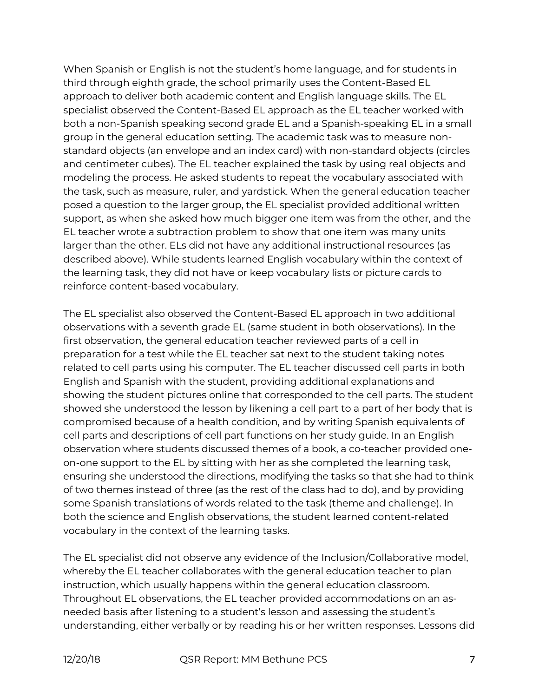When Spanish or English is not the student's home language, and for students in third through eighth grade, the school primarily uses the Content-Based EL approach to deliver both academic content and English language skills. The EL specialist observed the Content-Based EL approach as the EL teacher worked with both a non-Spanish speaking second grade EL and a Spanish-speaking EL in a small group in the general education setting. The academic task was to measure nonstandard objects (an envelope and an index card) with non-standard objects (circles and centimeter cubes). The EL teacher explained the task by using real objects and modeling the process. He asked students to repeat the vocabulary associated with the task, such as measure, ruler, and yardstick. When the general education teacher posed a question to the larger group, the EL specialist provided additional written support, as when she asked how much bigger one item was from the other, and the EL teacher wrote a subtraction problem to show that one item was many units larger than the other. ELs did not have any additional instructional resources (as described above). While students learned English vocabulary within the context of the learning task, they did not have or keep vocabulary lists or picture cards to reinforce content-based vocabulary.

The EL specialist also observed the Content-Based EL approach in two additional observations with a seventh grade EL (same student in both observations). In the first observation, the general education teacher reviewed parts of a cell in preparation for a test while the EL teacher sat next to the student taking notes related to cell parts using his computer. The EL teacher discussed cell parts in both English and Spanish with the student, providing additional explanations and showing the student pictures online that corresponded to the cell parts. The student showed she understood the lesson by likening a cell part to a part of her body that is compromised because of a health condition, and by writing Spanish equivalents of cell parts and descriptions of cell part functions on her study guide. In an English observation where students discussed themes of a book, a co-teacher provided oneon-one support to the EL by sitting with her as she completed the learning task, ensuring she understood the directions, modifying the tasks so that she had to think of two themes instead of three (as the rest of the class had to do), and by providing some Spanish translations of words related to the task (theme and challenge). In both the science and English observations, the student learned content-related vocabulary in the context of the learning tasks.

The EL specialist did not observe any evidence of the Inclusion/Collaborative model, whereby the EL teacher collaborates with the general education teacher to plan instruction, which usually happens within the general education classroom. Throughout EL observations, the EL teacher provided accommodations on an asneeded basis after listening to a student's lesson and assessing the student's understanding, either verbally or by reading his or her written responses. Lessons did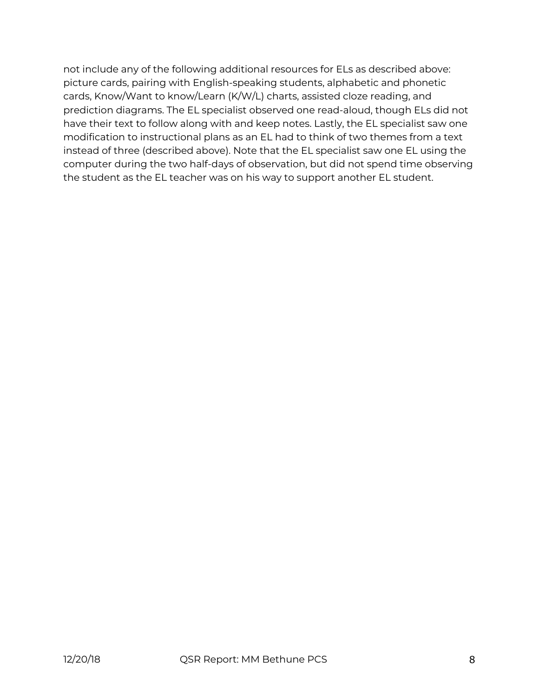not include any of the following additional resources for ELs as described above: picture cards, pairing with English-speaking students, alphabetic and phonetic cards, Know/Want to know/Learn (K/W/L) charts, assisted cloze reading, and prediction diagrams. The EL specialist observed one read-aloud, though ELs did not have their text to follow along with and keep notes. Lastly, the EL specialist saw one modification to instructional plans as an EL had to think of two themes from a text instead of three (described above). Note that the EL specialist saw one EL using the computer during the two half-days of observation, but did not spend time observing the student as the EL teacher was on his way to support another EL student.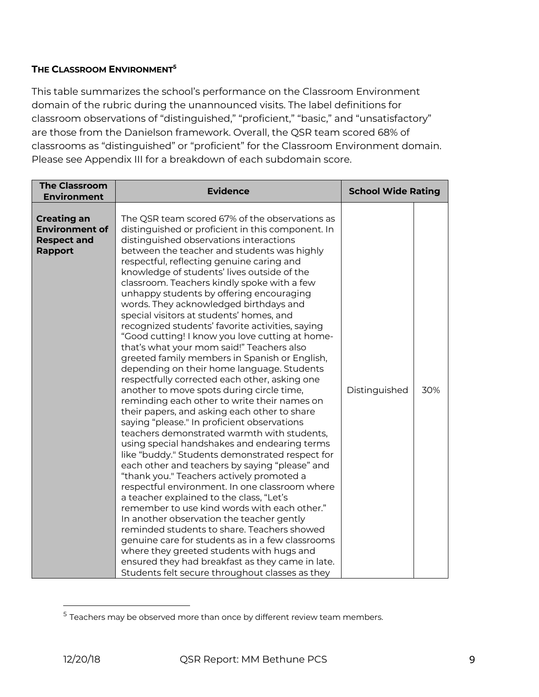### **THE CLASSROOM ENVIRONMENT5**

This table summarizes the school's performance on the Classroom Environment domain of the rubric during the unannounced visits. The label definitions for classroom observations of "distinguished," "proficient," "basic," and "unsatisfactory" are those from the Danielson framework. Overall, the QSR team scored 68% of classrooms as "distinguished" or "proficient" for the Classroom Environment domain. Please see Appendix III for a breakdown of each subdomain score.

| <b>The Classroom</b><br><b>Environment</b>                                          | <b>Evidence</b>                                                                                                                                                                                                                                                                                                                                                                                                                                                                                                                                                                                                                                                                                                                                                                                                                                                                                                                                                                                                                                                                                                                                                                                                                                                                                                                                                                                                                                                                                                                                                                                                                                                               | <b>School Wide Rating</b> |     |
|-------------------------------------------------------------------------------------|-------------------------------------------------------------------------------------------------------------------------------------------------------------------------------------------------------------------------------------------------------------------------------------------------------------------------------------------------------------------------------------------------------------------------------------------------------------------------------------------------------------------------------------------------------------------------------------------------------------------------------------------------------------------------------------------------------------------------------------------------------------------------------------------------------------------------------------------------------------------------------------------------------------------------------------------------------------------------------------------------------------------------------------------------------------------------------------------------------------------------------------------------------------------------------------------------------------------------------------------------------------------------------------------------------------------------------------------------------------------------------------------------------------------------------------------------------------------------------------------------------------------------------------------------------------------------------------------------------------------------------------------------------------------------------|---------------------------|-----|
| <b>Creating an</b><br><b>Environment of</b><br><b>Respect and</b><br><b>Rapport</b> | The QSR team scored 67% of the observations as<br>distinguished or proficient in this component. In<br>distinguished observations interactions<br>between the teacher and students was highly<br>respectful, reflecting genuine caring and<br>knowledge of students' lives outside of the<br>classroom. Teachers kindly spoke with a few<br>unhappy students by offering encouraging<br>words. They acknowledged birthdays and<br>special visitors at students' homes, and<br>recognized students' favorite activities, saying<br>"Good cutting! I know you love cutting at home-<br>that's what your mom said!" Teachers also<br>greeted family members in Spanish or English,<br>depending on their home language. Students<br>respectfully corrected each other, asking one<br>another to move spots during circle time,<br>reminding each other to write their names on<br>their papers, and asking each other to share<br>saying "please." In proficient observations<br>teachers demonstrated warmth with students,<br>using special handshakes and endearing terms<br>like "buddy." Students demonstrated respect for<br>each other and teachers by saying "please" and<br>"thank you." Teachers actively promoted a<br>respectful environment. In one classroom where<br>a teacher explained to the class, "Let's<br>remember to use kind words with each other."<br>In another observation the teacher gently<br>reminded students to share. Teachers showed<br>genuine care for students as in a few classrooms<br>where they greeted students with hugs and<br>ensured they had breakfast as they came in late.<br>Students felt secure throughout classes as they | Distinguished             | 30% |

 $<sup>5</sup>$  Teachers may be observed more than once by different review team members.</sup>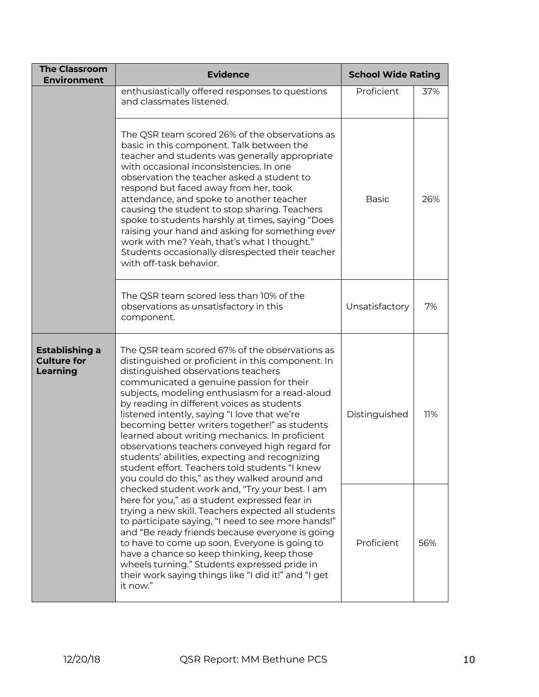| <b>The Classroom</b><br><b>Environment</b>              | <b>School Wide Rating</b><br><b>Evidence</b>                                                                                                                                                                                                                                                                                                                                                                                                                                                                                                                                                                                                      |                |     |
|---------------------------------------------------------|---------------------------------------------------------------------------------------------------------------------------------------------------------------------------------------------------------------------------------------------------------------------------------------------------------------------------------------------------------------------------------------------------------------------------------------------------------------------------------------------------------------------------------------------------------------------------------------------------------------------------------------------------|----------------|-----|
|                                                         | enthusiastically offered responses to questions<br>and classmates listened.                                                                                                                                                                                                                                                                                                                                                                                                                                                                                                                                                                       | Proficient     | 37% |
|                                                         | The QSR team scored 26% of the observations as<br>basic in this component. Talk between the<br>teacher and students was generally appropriate<br>with occasional inconsistencies. In one<br>observation the teacher asked a student to<br>respond but faced away from her, took<br>attendance, and spoke to another teacher<br>causing the student to stop sharing. Teachers<br>spoke to students harshly at times, saying "Does<br>raising your hand and asking for something ever<br>work with me? Yeah, that's what I thought."<br>Students occasionally disrespected their teacher<br>with off-task behavior.                                 | <b>Basic</b>   | 26% |
|                                                         | The QSR team scored less than 10% of the<br>observations as unsatisfactory in this<br>component.                                                                                                                                                                                                                                                                                                                                                                                                                                                                                                                                                  | Unsatisfactory | 7%  |
| Establishing a<br><b>Culture for</b><br><b>Learning</b> | The QSR team scored 67% of the observations as<br>distinguished or proficient in this component. In<br>distinguished observations teachers<br>communicated a genuine passion for their<br>subjects, modeling enthusiasm for a read-aloud<br>by reading in different voices as students<br>listened intently, saying "I love that we're<br>becoming better writers together!" as students<br>learned about writing mechanics. In proficient<br>observations teachers conveyed high regard for<br>students' abilities, expecting and recognizing<br>student effort. Teachers told students "I knew<br>you could do this," as they walked around and | Distinguished  | 11% |
|                                                         | checked student work and, "Try your best. I am<br>here for you," as a student expressed fear in<br>trying a new skill. Teachers expected all students<br>to participate saying, "I need to see more hands!"<br>and "Be ready friends because everyone is going<br>to have to come up soon. Everyone is going to<br>have a chance so keep thinking, keep those<br>wheels turning." Students expressed pride in<br>their work saying things like "I did it!" and "I get<br>it now."                                                                                                                                                                 | Proficient     | 56% |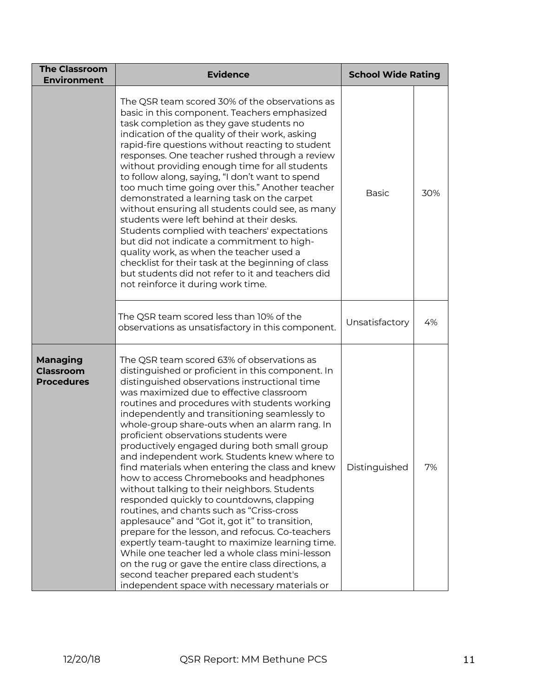| <b>The Classroom</b><br><b>Environment</b>                                                                                                                                                                                                                                                                                                                                                                                                                                                                                                                                                                                                                                                                                                                                                                                                                                                                                                                                                                                                                                                         | <b>Evidence</b>                                                                                                                                                                                                                                                                                                                                                                                                                                                                                                                                                                                                                                                                                                                                                                                                                                                                                        | <b>School Wide Rating</b> |     |
|----------------------------------------------------------------------------------------------------------------------------------------------------------------------------------------------------------------------------------------------------------------------------------------------------------------------------------------------------------------------------------------------------------------------------------------------------------------------------------------------------------------------------------------------------------------------------------------------------------------------------------------------------------------------------------------------------------------------------------------------------------------------------------------------------------------------------------------------------------------------------------------------------------------------------------------------------------------------------------------------------------------------------------------------------------------------------------------------------|--------------------------------------------------------------------------------------------------------------------------------------------------------------------------------------------------------------------------------------------------------------------------------------------------------------------------------------------------------------------------------------------------------------------------------------------------------------------------------------------------------------------------------------------------------------------------------------------------------------------------------------------------------------------------------------------------------------------------------------------------------------------------------------------------------------------------------------------------------------------------------------------------------|---------------------------|-----|
|                                                                                                                                                                                                                                                                                                                                                                                                                                                                                                                                                                                                                                                                                                                                                                                                                                                                                                                                                                                                                                                                                                    | The QSR team scored 30% of the observations as<br>basic in this component. Teachers emphasized<br>task completion as they gave students no<br>indication of the quality of their work, asking<br>rapid-fire questions without reacting to student<br>responses. One teacher rushed through a review<br>without providing enough time for all students<br>to follow along, saying, "I don't want to spend<br>too much time going over this." Another teacher<br>demonstrated a learning task on the carpet<br>without ensuring all students could see, as many<br>students were left behind at their desks.<br>Students complied with teachers' expectations<br>but did not indicate a commitment to high-<br>quality work, as when the teacher used a<br>checklist for their task at the beginning of class<br>but students did not refer to it and teachers did<br>not reinforce it during work time. | <b>Basic</b>              | 30% |
|                                                                                                                                                                                                                                                                                                                                                                                                                                                                                                                                                                                                                                                                                                                                                                                                                                                                                                                                                                                                                                                                                                    | The QSR team scored less than 10% of the<br>observations as unsatisfactory in this component.                                                                                                                                                                                                                                                                                                                                                                                                                                                                                                                                                                                                                                                                                                                                                                                                          | Unsatisfactory            | 4%  |
| The QSR team scored 63% of observations as<br><b>Managing</b><br>Classroom<br>distinguished or proficient in this component. In<br><b>Procedures</b><br>distinguished observations instructional time<br>was maximized due to effective classroom<br>routines and procedures with students working<br>independently and transitioning seamlessly to<br>whole-group share-outs when an alarm rang. In<br>proficient observations students were<br>productively engaged during both small group<br>and independent work. Students knew where to<br>find materials when entering the class and knew<br>how to access Chromebooks and headphones<br>without talking to their neighbors. Students<br>responded quickly to countdowns, clapping<br>routines, and chants such as "Criss-cross<br>applesauce" and "Got it, got it" to transition,<br>prepare for the lesson, and refocus. Co-teachers<br>expertly team-taught to maximize learning time.<br>While one teacher led a whole class mini-lesson<br>on the rug or gave the entire class directions, a<br>second teacher prepared each student's |                                                                                                                                                                                                                                                                                                                                                                                                                                                                                                                                                                                                                                                                                                                                                                                                                                                                                                        | Distinguished             | 7%  |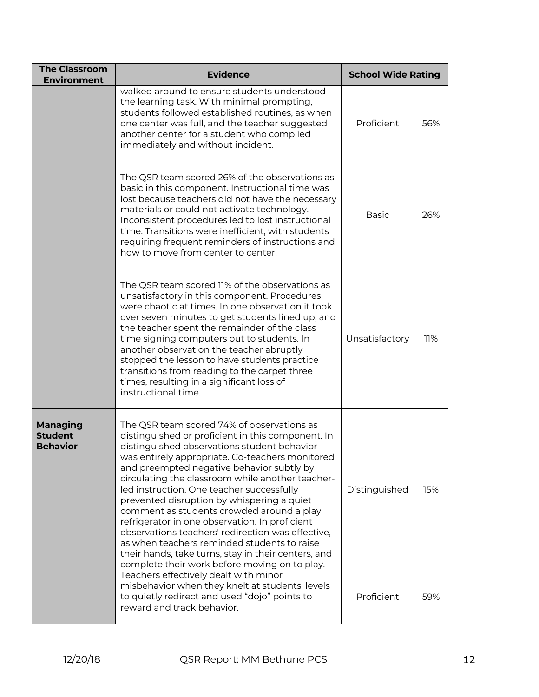| <b>The Classroom</b><br><b>Environment</b>                                                                                                                                                                                                                                                                                                                                                                                                                                                                                                                                                                                                                                                                                                                       | <b>Evidence</b>                                                                                                                                                                                                                                                                                                                                                                                                                                                                                                       | <b>School Wide Rating</b> |     |
|------------------------------------------------------------------------------------------------------------------------------------------------------------------------------------------------------------------------------------------------------------------------------------------------------------------------------------------------------------------------------------------------------------------------------------------------------------------------------------------------------------------------------------------------------------------------------------------------------------------------------------------------------------------------------------------------------------------------------------------------------------------|-----------------------------------------------------------------------------------------------------------------------------------------------------------------------------------------------------------------------------------------------------------------------------------------------------------------------------------------------------------------------------------------------------------------------------------------------------------------------------------------------------------------------|---------------------------|-----|
|                                                                                                                                                                                                                                                                                                                                                                                                                                                                                                                                                                                                                                                                                                                                                                  | walked around to ensure students understood<br>the learning task. With minimal prompting,<br>students followed established routines, as when<br>one center was full, and the teacher suggested<br>another center for a student who complied<br>immediately and without incident.                                                                                                                                                                                                                                      | Proficient                | 56% |
|                                                                                                                                                                                                                                                                                                                                                                                                                                                                                                                                                                                                                                                                                                                                                                  | The QSR team scored 26% of the observations as<br>basic in this component. Instructional time was<br>lost because teachers did not have the necessary<br>materials or could not activate technology.<br>Inconsistent procedures led to lost instructional<br>time. Transitions were inefficient, with students<br>requiring frequent reminders of instructions and<br>how to move from center to center.                                                                                                              | <b>Basic</b>              | 26% |
|                                                                                                                                                                                                                                                                                                                                                                                                                                                                                                                                                                                                                                                                                                                                                                  | The QSR team scored 11% of the observations as<br>unsatisfactory in this component. Procedures<br>were chaotic at times. In one observation it took<br>over seven minutes to get students lined up, and<br>the teacher spent the remainder of the class<br>time signing computers out to students. In<br>another observation the teacher abruptly<br>stopped the lesson to have students practice<br>transitions from reading to the carpet three<br>times, resulting in a significant loss of<br>instructional time. | Unsatisfactory            | 11% |
| The QSR team scored 74% of observations as<br><b>Managing</b><br><b>Student</b><br>distinguished or proficient in this component. In<br><b>Behavior</b><br>distinguished observations student behavior<br>was entirely appropriate. Co-teachers monitored<br>and preempted negative behavior subtly by<br>circulating the classroom while another teacher-<br>led instruction. One teacher successfully<br>prevented disruption by whispering a quiet<br>comment as students crowded around a play<br>refrigerator in one observation. In proficient<br>observations teachers' redirection was effective,<br>as when teachers reminded students to raise<br>their hands, take turns, stay in their centers, and<br>complete their work before moving on to play. |                                                                                                                                                                                                                                                                                                                                                                                                                                                                                                                       | Distinguished             | 15% |
|                                                                                                                                                                                                                                                                                                                                                                                                                                                                                                                                                                                                                                                                                                                                                                  | Teachers effectively dealt with minor<br>misbehavior when they knelt at students' levels<br>to quietly redirect and used "dojo" points to<br>reward and track behavior.                                                                                                                                                                                                                                                                                                                                               | Proficient                | 59% |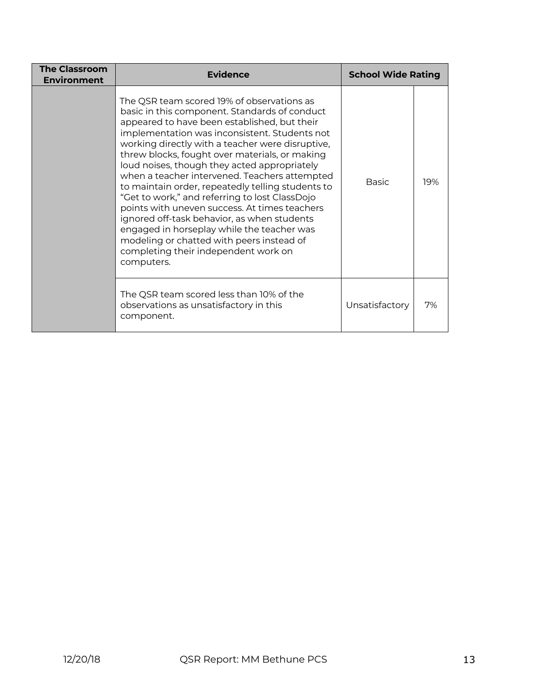| <b>The Classroom</b><br><b>Environment</b> | Evidence                                                                                                                                                                                                                                                                                                                                                                                                                                                                                                                                                                                                                                                                                                                                                    | <b>School Wide Rating</b> |     |
|--------------------------------------------|-------------------------------------------------------------------------------------------------------------------------------------------------------------------------------------------------------------------------------------------------------------------------------------------------------------------------------------------------------------------------------------------------------------------------------------------------------------------------------------------------------------------------------------------------------------------------------------------------------------------------------------------------------------------------------------------------------------------------------------------------------------|---------------------------|-----|
|                                            | The QSR team scored 19% of observations as<br>basic in this component. Standards of conduct<br>appeared to have been established, but their<br>implementation was inconsistent. Students not<br>working directly with a teacher were disruptive,<br>threw blocks, fought over materials, or making<br>loud noises, though they acted appropriately<br>when a teacher intervened. Teachers attempted<br>to maintain order, repeatedly telling students to<br>"Get to work," and referring to lost ClassDojo<br>points with uneven success. At times teachers<br>ignored off-task behavior, as when students<br>engaged in horseplay while the teacher was<br>modeling or chatted with peers instead of<br>completing their independent work on<br>computers. | Basic                     | 19% |
|                                            | The QSR team scored less than 10% of the<br>observations as unsatisfactory in this<br>component.                                                                                                                                                                                                                                                                                                                                                                                                                                                                                                                                                                                                                                                            | Unsatisfactory            | 7%  |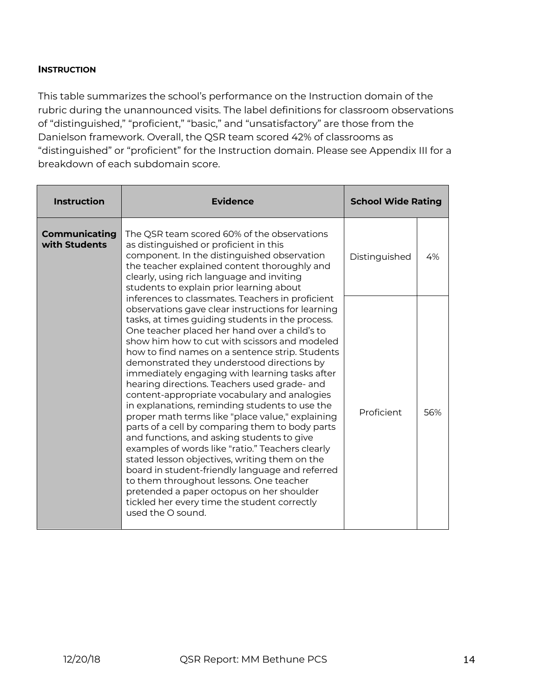### **INSTRUCTION**

This table summarizes the school's performance on the Instruction domain of the rubric during the unannounced visits. The label definitions for classroom observations of "distinguished," "proficient," "basic," and "unsatisfactory" are those from the Danielson framework. Overall, the QSR team scored 42% of classrooms as "distinguished" or "proficient" for the Instruction domain. Please see Appendix III for a breakdown of each subdomain score.

| <b>Instruction</b>                    | <b>Evidence</b>                                                                                                                                                                                                                                                                                                                                                                                                                                                                                                                                                                                                                                                                                                                                                                                                                                                                                                                                                                                                                                                                                                                                                                                                                                                                                                                    | <b>School Wide Rating</b> |     |
|---------------------------------------|------------------------------------------------------------------------------------------------------------------------------------------------------------------------------------------------------------------------------------------------------------------------------------------------------------------------------------------------------------------------------------------------------------------------------------------------------------------------------------------------------------------------------------------------------------------------------------------------------------------------------------------------------------------------------------------------------------------------------------------------------------------------------------------------------------------------------------------------------------------------------------------------------------------------------------------------------------------------------------------------------------------------------------------------------------------------------------------------------------------------------------------------------------------------------------------------------------------------------------------------------------------------------------------------------------------------------------|---------------------------|-----|
| <b>Communicating</b><br>with Students | The QSR team scored 60% of the observations<br>as distinguished or proficient in this<br>component. In the distinguished observation<br>the teacher explained content thoroughly and<br>clearly, using rich language and inviting<br>students to explain prior learning about<br>inferences to classmates. Teachers in proficient<br>observations gave clear instructions for learning<br>tasks, at times guiding students in the process.<br>One teacher placed her hand over a child's to<br>show him how to cut with scissors and modeled<br>how to find names on a sentence strip. Students<br>demonstrated they understood directions by<br>immediately engaging with learning tasks after<br>hearing directions. Teachers used grade- and<br>content-appropriate vocabulary and analogies<br>in explanations, reminding students to use the<br>proper math terms like "place value," explaining<br>parts of a cell by comparing them to body parts<br>and functions, and asking students to give<br>examples of words like "ratio." Teachers clearly<br>stated lesson objectives, writing them on the<br>board in student-friendly language and referred<br>to them throughout lessons. One teacher<br>pretended a paper octopus on her shoulder<br>tickled her every time the student correctly<br>used the $\Omega$ sound. | Distinguished             | 4%  |
|                                       |                                                                                                                                                                                                                                                                                                                                                                                                                                                                                                                                                                                                                                                                                                                                                                                                                                                                                                                                                                                                                                                                                                                                                                                                                                                                                                                                    | Proficient                | 56% |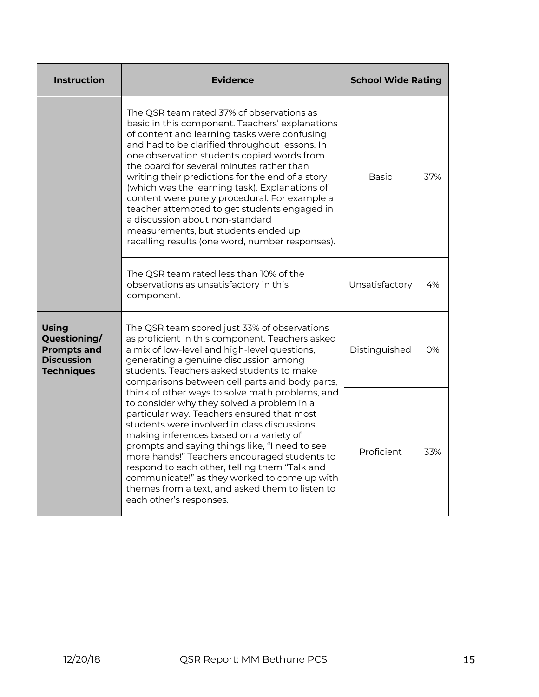| <b>Instruction</b>                                                                           | <b>Evidence</b>                                                                                                                                                                                                                                                                                                                                                                                                                                                                                                                                                                                                               | <b>School Wide Rating</b> |     |
|----------------------------------------------------------------------------------------------|-------------------------------------------------------------------------------------------------------------------------------------------------------------------------------------------------------------------------------------------------------------------------------------------------------------------------------------------------------------------------------------------------------------------------------------------------------------------------------------------------------------------------------------------------------------------------------------------------------------------------------|---------------------------|-----|
|                                                                                              | The QSR team rated 37% of observations as<br>basic in this component. Teachers' explanations<br>of content and learning tasks were confusing<br>and had to be clarified throughout lessons. In<br>one observation students copied words from<br>the board for several minutes rather than<br>writing their predictions for the end of a story<br>(which was the learning task). Explanations of<br>content were purely procedural. For example a<br>teacher attempted to get students engaged in<br>a discussion about non-standard<br>measurements, but students ended up<br>recalling results (one word, number responses). | <b>Basic</b>              | 37% |
|                                                                                              | Unsatisfactory                                                                                                                                                                                                                                                                                                                                                                                                                                                                                                                                                                                                                | 4%                        |     |
| <b>Using</b><br>Questioning/<br><b>Prompts and</b><br><b>Discussion</b><br><b>Techniques</b> | The QSR team scored just 33% of observations<br>as proficient in this component. Teachers asked<br>a mix of low-level and high-level questions,<br>generating a genuine discussion among<br>students. Teachers asked students to make<br>comparisons between cell parts and body parts,                                                                                                                                                                                                                                                                                                                                       | Distinguished             | 0%  |
|                                                                                              | think of other ways to solve math problems, and<br>to consider why they solved a problem in a<br>particular way. Teachers ensured that most<br>students were involved in class discussions,<br>making inferences based on a variety of<br>prompts and saying things like, "I need to see<br>more hands!" Teachers encouraged students to<br>respond to each other, telling them "Talk and<br>communicate!" as they worked to come up with<br>themes from a text, and asked them to listen to<br>each other's responses.                                                                                                       | Proficient                | 33% |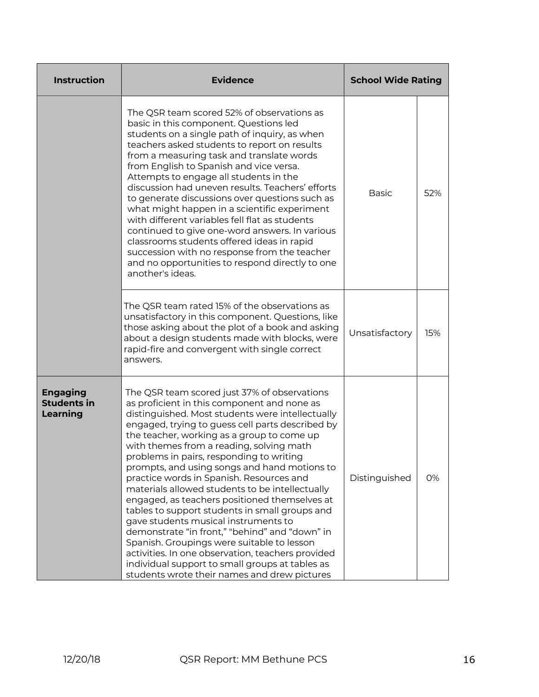| <b>Instruction</b>                                                                                                                                                                                                                                                                                                                                                                                                                                                                                                                                                                                                                                                                                                                                     | <b>Evidence</b>                                                                                                                                                                                                                                                                                                                                                                                                                                                                                                                                                                                                                                                                                                                                                                                                                                                                             | <b>School Wide Rating</b> |     |
|--------------------------------------------------------------------------------------------------------------------------------------------------------------------------------------------------------------------------------------------------------------------------------------------------------------------------------------------------------------------------------------------------------------------------------------------------------------------------------------------------------------------------------------------------------------------------------------------------------------------------------------------------------------------------------------------------------------------------------------------------------|---------------------------------------------------------------------------------------------------------------------------------------------------------------------------------------------------------------------------------------------------------------------------------------------------------------------------------------------------------------------------------------------------------------------------------------------------------------------------------------------------------------------------------------------------------------------------------------------------------------------------------------------------------------------------------------------------------------------------------------------------------------------------------------------------------------------------------------------------------------------------------------------|---------------------------|-----|
| The QSR team scored 52% of observations as<br>basic in this component. Questions led<br>students on a single path of inquiry, as when<br>teachers asked students to report on results<br>from a measuring task and translate words<br>from English to Spanish and vice versa.<br>Attempts to engage all students in the<br>discussion had uneven results. Teachers' efforts<br>to generate discussions over questions such as<br>what might happen in a scientific experiment<br>with different variables fell flat as students<br>continued to give one-word answers. In various<br>classrooms students offered ideas in rapid<br>succession with no response from the teacher<br>and no opportunities to respond directly to one<br>another's ideas. |                                                                                                                                                                                                                                                                                                                                                                                                                                                                                                                                                                                                                                                                                                                                                                                                                                                                                             | <b>Basic</b>              | 52% |
|                                                                                                                                                                                                                                                                                                                                                                                                                                                                                                                                                                                                                                                                                                                                                        | The QSR team rated 15% of the observations as<br>unsatisfactory in this component. Questions, like<br>those asking about the plot of a book and asking<br>about a design students made with blocks, were<br>rapid-fire and convergent with single correct<br>answers.                                                                                                                                                                                                                                                                                                                                                                                                                                                                                                                                                                                                                       | Unsatisfactory            | 15% |
| <b>Engaging</b><br><b>Students in</b><br>Learning                                                                                                                                                                                                                                                                                                                                                                                                                                                                                                                                                                                                                                                                                                      | The QSR team scored just 37% of observations<br>as proficient in this component and none as<br>distinguished. Most students were intellectually<br>engaged, trying to guess cell parts described by<br>the teacher, working as a group to come up<br>with themes from a reading, solving math<br>problems in pairs, responding to writing<br>prompts, and using songs and hand motions to<br>practice words in Spanish. Resources and<br>materials allowed students to be intellectually<br>engaged, as teachers positioned themselves at<br>tables to support students in small groups and<br>gave students musical instruments to<br>demonstrate "in front," "behind" and "down" in<br>Spanish. Groupings were suitable to lesson<br>activities. In one observation, teachers provided<br>individual support to small groups at tables as<br>students wrote their names and drew pictures |                           | 0%  |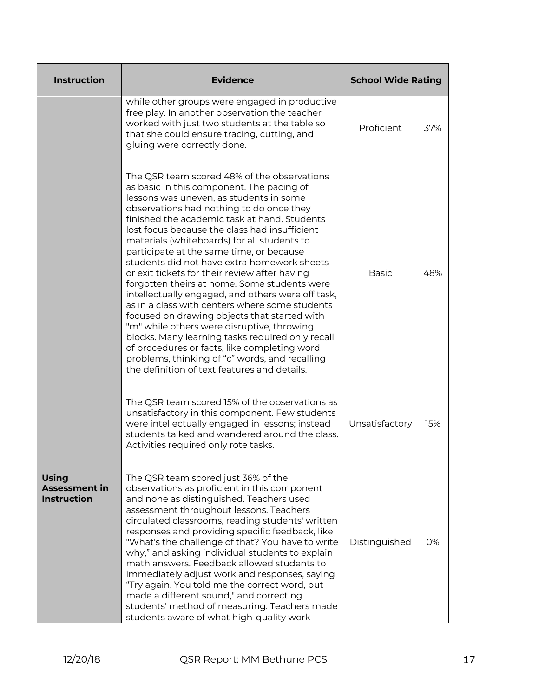| <b>Instruction</b>                                         | <b>Evidence</b>                                                                                                                                                                                                                                                                                                                                                                                                                                                                                                                                                                                                                                                                                                                                                                                                                                                                                                                        | <b>School Wide Rating</b> |     |
|------------------------------------------------------------|----------------------------------------------------------------------------------------------------------------------------------------------------------------------------------------------------------------------------------------------------------------------------------------------------------------------------------------------------------------------------------------------------------------------------------------------------------------------------------------------------------------------------------------------------------------------------------------------------------------------------------------------------------------------------------------------------------------------------------------------------------------------------------------------------------------------------------------------------------------------------------------------------------------------------------------|---------------------------|-----|
|                                                            | while other groups were engaged in productive<br>free play. In another observation the teacher<br>worked with just two students at the table so<br>that she could ensure tracing, cutting, and<br>gluing were correctly done.                                                                                                                                                                                                                                                                                                                                                                                                                                                                                                                                                                                                                                                                                                          | Proficient                | 37% |
|                                                            | The QSR team scored 48% of the observations<br>as basic in this component. The pacing of<br>lessons was uneven, as students in some<br>observations had nothing to do once they<br>finished the academic task at hand. Students<br>lost focus because the class had insufficient<br>materials (whiteboards) for all students to<br>participate at the same time, or because<br>students did not have extra homework sheets<br>or exit tickets for their review after having<br>forgotten theirs at home. Some students were<br>intellectually engaged, and others were off task,<br>as in a class with centers where some students<br>focused on drawing objects that started with<br>"m" while others were disruptive, throwing<br>blocks. Many learning tasks required only recall<br>of procedures or facts, like completing word<br>problems, thinking of "c" words, and recalling<br>the definition of text features and details. | <b>Basic</b>              | 48% |
|                                                            | The QSR team scored 15% of the observations as<br>unsatisfactory in this component. Few students<br>were intellectually engaged in lessons; instead<br>students talked and wandered around the class.<br>Activities required only rote tasks.                                                                                                                                                                                                                                                                                                                                                                                                                                                                                                                                                                                                                                                                                          | Unsatisfactory            | 15% |
| <b>Using</b><br><b>Assessment in</b><br><b>Instruction</b> | The QSR team scored just 36% of the<br>observations as proficient in this component<br>and none as distinguished. Teachers used<br>assessment throughout lessons. Teachers<br>circulated classrooms, reading students' written<br>responses and providing specific feedback, like<br>"What's the challenge of that? You have to write<br>why," and asking individual students to explain<br>math answers. Feedback allowed students to<br>immediately adjust work and responses, saying<br>"Try again. You told me the correct word, but<br>made a different sound," and correcting<br>students' method of measuring. Teachers made<br>students aware of what high-quality work                                                                                                                                                                                                                                                        | Distinguished             | 0%  |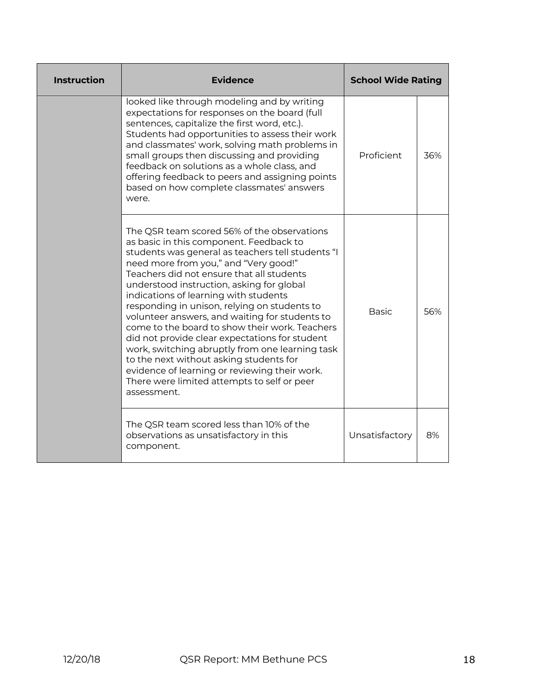| <b>Instruction</b> | <b>Evidence</b>                                                                                                                                                                                                                                                                                                                                                                                                                                                                                                                                                                                                                                                                                                                            | <b>School Wide Rating</b> |     |
|--------------------|--------------------------------------------------------------------------------------------------------------------------------------------------------------------------------------------------------------------------------------------------------------------------------------------------------------------------------------------------------------------------------------------------------------------------------------------------------------------------------------------------------------------------------------------------------------------------------------------------------------------------------------------------------------------------------------------------------------------------------------------|---------------------------|-----|
|                    | looked like through modeling and by writing<br>expectations for responses on the board (full<br>sentences, capitalize the first word, etc.).<br>Students had opportunities to assess their work<br>and classmates' work, solving math problems in<br>small groups then discussing and providing<br>feedback on solutions as a whole class, and<br>offering feedback to peers and assigning points<br>based on how complete classmates' answers<br>were.                                                                                                                                                                                                                                                                                    | Proficient                | 36% |
|                    | The QSR team scored 56% of the observations<br>as basic in this component. Feedback to<br>students was general as teachers tell students "I<br>need more from you," and "Very good!"<br>Teachers did not ensure that all students<br>understood instruction, asking for global<br>indications of learning with students<br>responding in unison, relying on students to<br>volunteer answers, and waiting for students to<br>come to the board to show their work. Teachers<br>did not provide clear expectations for student<br>work, switching abruptly from one learning task<br>to the next without asking students for<br>evidence of learning or reviewing their work.<br>There were limited attempts to self or peer<br>assessment. | <b>Basic</b>              | 56% |
|                    | The QSR team scored less than 10% of the<br>observations as unsatisfactory in this<br>component.                                                                                                                                                                                                                                                                                                                                                                                                                                                                                                                                                                                                                                           | Unsatisfactory            | 8%  |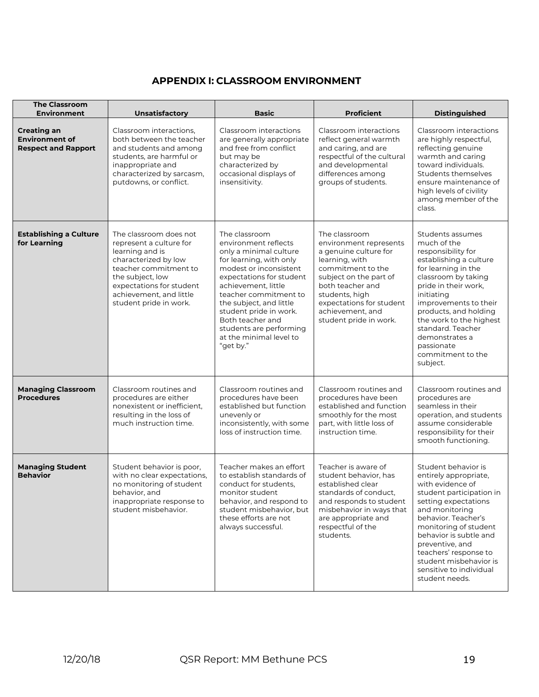## **APPENDIX I: CLASSROOM ENVIRONMENT**

| <b>The Classroom</b><br><b>Environment</b>                                | <b>Unsatisfactory</b>                                                                                                                                                                                                      | <b>Basic</b>                                                                                                                                                                                                                                                                                                                                 | <b>Proficient</b>                                                                                                                                                                                                                                 | <b>Distinguished</b>                                                                                                                                                                                                                                                                                                                   |
|---------------------------------------------------------------------------|----------------------------------------------------------------------------------------------------------------------------------------------------------------------------------------------------------------------------|----------------------------------------------------------------------------------------------------------------------------------------------------------------------------------------------------------------------------------------------------------------------------------------------------------------------------------------------|---------------------------------------------------------------------------------------------------------------------------------------------------------------------------------------------------------------------------------------------------|----------------------------------------------------------------------------------------------------------------------------------------------------------------------------------------------------------------------------------------------------------------------------------------------------------------------------------------|
| <b>Creating an</b><br><b>Environment of</b><br><b>Respect and Rapport</b> | Classroom interactions,<br>both between the teacher<br>and students and among<br>students, are harmful or<br>inappropriate and<br>characterized by sarcasm,<br>putdowns, or conflict.                                      | Classroom interactions<br>are generally appropriate<br>and free from conflict<br>but may be<br>characterized by<br>occasional displays of<br>insensitivity.                                                                                                                                                                                  | Classroom interactions<br>reflect general warmth<br>and caring, and are<br>respectful of the cultural<br>and developmental<br>differences among<br>groups of students.                                                                            | Classroom interactions<br>are highly respectful,<br>reflecting genuine<br>warmth and caring<br>toward individuals.<br>Students themselves<br>ensure maintenance of<br>high levels of civility<br>among member of the<br>class.                                                                                                         |
| <b>Establishing a Culture</b><br>for Learning                             | The classroom does not<br>represent a culture for<br>learning and is<br>characterized by low<br>teacher commitment to<br>the subject, low<br>expectations for student<br>achievement, and little<br>student pride in work. | The classroom<br>environment reflects<br>only a minimal culture<br>for learning, with only<br>modest or inconsistent<br>expectations for student<br>achievement, little<br>teacher commitment to<br>the subject, and little<br>student pride in work.<br>Both teacher and<br>students are performing<br>at the minimal level to<br>"get by." | The classroom<br>environment represents<br>a genuine culture for<br>learning, with<br>commitment to the<br>subject on the part of<br>both teacher and<br>students, high<br>expectations for student<br>achievement, and<br>student pride in work. | Students assumes<br>much of the<br>responsibility for<br>establishing a culture<br>for learning in the<br>classroom by taking<br>pride in their work,<br>initiating<br>improvements to their<br>products, and holding<br>the work to the highest<br>standard. Teacher<br>demonstrates a<br>passionate<br>commitment to the<br>subject. |
| <b>Managing Classroom</b><br><b>Procedures</b>                            | Classroom routines and<br>procedures are either<br>nonexistent or inefficient,<br>resulting in the loss of<br>much instruction time.                                                                                       | Classroom routines and<br>procedures have been<br>established but function<br>unevenly or<br>inconsistently, with some<br>loss of instruction time.                                                                                                                                                                                          | Classroom routines and<br>procedures have been<br>established and function<br>smoothly for the most<br>part, with little loss of<br>instruction time.                                                                                             | Classroom routines and<br>procedures are<br>seamless in their<br>operation, and students<br>assume considerable<br>responsibility for their<br>smooth functioning.                                                                                                                                                                     |
| <b>Managing Student</b><br><b>Behavior</b>                                | Student behavior is poor,<br>with no clear expectations,<br>no monitoring of student<br>behavior, and<br>inappropriate response to<br>student misbehavior.                                                                 | Teacher makes an effort<br>to establish standards of<br>conduct for students,<br>monitor student<br>behavior, and respond to<br>student misbehavior, but<br>these efforts are not<br>always successful.                                                                                                                                      | Teacher is aware of<br>student behavior, has<br>established clear<br>standards of conduct,<br>and responds to student<br>misbehavior in ways that<br>are appropriate and<br>respectful of the<br>students.                                        | Student behavior is<br>entirely appropriate,<br>with evidence of<br>student participation in<br>setting expectations<br>and monitoring<br>behavior. Teacher's<br>monitoring of student<br>behavior is subtle and<br>preventive, and<br>teachers' response to<br>student misbehavior is<br>sensitive to individual<br>student needs.    |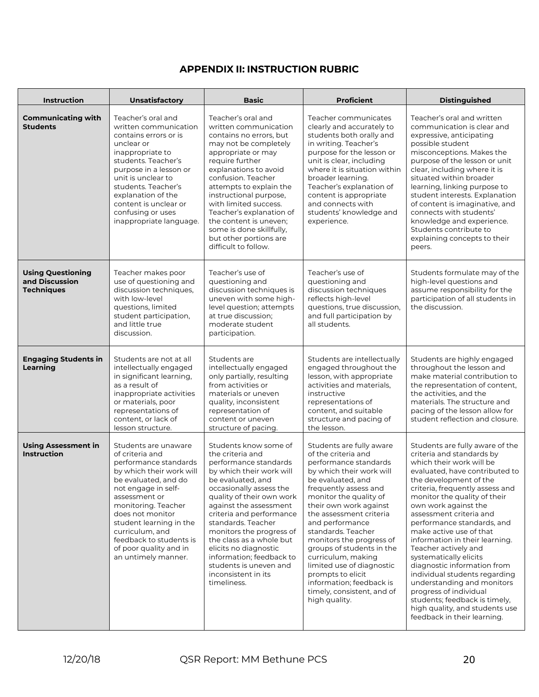# **APPENDIX II: INSTRUCTION RUBRIC**

| <b>Instruction</b>                                              | <b>Unsatisfactory</b>                                                                                                                                                                                                                                                                                                             | <b>Basic</b>                                                                                                                                                                                                                                                                                                                                                                                                                         | <b>Proficient</b>                                                                                                                                                                                                                                                                                                                                                                                                                                                                      | <b>Distinguished</b>                                                                                                                                                                                                                                                                                                                                                                                                                                                                                                                                                                                                                              |
|-----------------------------------------------------------------|-----------------------------------------------------------------------------------------------------------------------------------------------------------------------------------------------------------------------------------------------------------------------------------------------------------------------------------|--------------------------------------------------------------------------------------------------------------------------------------------------------------------------------------------------------------------------------------------------------------------------------------------------------------------------------------------------------------------------------------------------------------------------------------|----------------------------------------------------------------------------------------------------------------------------------------------------------------------------------------------------------------------------------------------------------------------------------------------------------------------------------------------------------------------------------------------------------------------------------------------------------------------------------------|---------------------------------------------------------------------------------------------------------------------------------------------------------------------------------------------------------------------------------------------------------------------------------------------------------------------------------------------------------------------------------------------------------------------------------------------------------------------------------------------------------------------------------------------------------------------------------------------------------------------------------------------------|
| <b>Communicating with</b><br><b>Students</b>                    | Teacher's oral and<br>written communication<br>contains errors or is<br>unclear or<br>inappropriate to<br>students. Teacher's<br>purpose in a lesson or<br>unit is unclear to<br>students. Teacher's<br>explanation of the<br>content is unclear or<br>confusing or uses<br>inappropriate language.                               | Teacher's oral and<br>written communication<br>contains no errors, but<br>may not be completely<br>appropriate or may<br>require further<br>explanations to avoid<br>confusion. Teacher<br>attempts to explain the<br>instructional purpose,<br>with limited success.<br>Teacher's explanation of<br>the content is uneven;<br>some is done skillfully,<br>but other portions are<br>difficult to follow.                            | Teacher communicates<br>clearly and accurately to<br>students both orally and<br>in writing. Teacher's<br>purpose for the lesson or<br>unit is clear, including<br>where it is situation within<br>broader learning.<br>Teacher's explanation of<br>content is appropriate<br>and connects with<br>students' knowledge and<br>experience.                                                                                                                                              | Teacher's oral and written<br>communication is clear and<br>expressive, anticipating<br>possible student<br>misconceptions. Makes the<br>purpose of the lesson or unit<br>clear, including where it is<br>situated within broader<br>learning, linking purpose to<br>student interests. Explanation<br>of content is imaginative, and<br>connects with students'<br>knowledge and experience.<br>Students contribute to<br>explaining concepts to their<br>peers.                                                                                                                                                                                 |
| <b>Using Questioning</b><br>and Discussion<br><b>Techniques</b> | Teacher makes poor<br>use of questioning and<br>discussion techniques,<br>with low-level<br>questions, limited<br>student participation,<br>and little true<br>discussion.                                                                                                                                                        | Teacher's use of<br>questioning and<br>discussion techniques is<br>uneven with some high-<br>level question; attempts<br>at true discussion;<br>moderate student<br>participation.                                                                                                                                                                                                                                                   | Teacher's use of<br>questioning and<br>discussion techniques<br>reflects high-level<br>questions, true discussion,<br>and full participation by<br>all students.                                                                                                                                                                                                                                                                                                                       | Students formulate may of the<br>high-level questions and<br>assume responsibility for the<br>participation of all students in<br>the discussion.                                                                                                                                                                                                                                                                                                                                                                                                                                                                                                 |
| <b>Engaging Students in</b><br>Learning                         | Students are not at all<br>intellectually engaged<br>in significant learning,<br>as a result of<br>inappropriate activities<br>or materials, poor<br>representations of<br>content, or lack of<br>lesson structure.                                                                                                               | Students are<br>intellectually engaged<br>only partially, resulting<br>from activities or<br>materials or uneven<br>quality, inconsistent<br>representation of<br>content or uneven<br>structure of pacing.                                                                                                                                                                                                                          | Students are intellectually<br>engaged throughout the<br>lesson, with appropriate<br>activities and materials,<br>instructive<br>representations of<br>content, and suitable<br>structure and pacing of<br>the lesson.                                                                                                                                                                                                                                                                 | Students are highly engaged<br>throughout the lesson and<br>make material contribution to<br>the representation of content,<br>the activities, and the<br>materials. The structure and<br>pacing of the lesson allow for<br>student reflection and closure.                                                                                                                                                                                                                                                                                                                                                                                       |
| <b>Using Assessment in</b><br><b>Instruction</b>                | Students are unaware<br>of criteria and<br>performance standards<br>by which their work will<br>be evaluated, and do<br>not engage in self-<br>assessment or<br>monitoring. Teacher<br>does not monitor<br>student learning in the<br>curriculum, and<br>feedback to students is<br>of poor quality and in<br>an untimely manner. | Students know some of<br>the criteria and<br>performance standards<br>by which their work will<br>be evaluated, and<br>occasionally assess the<br>quality of their own work<br>against the assessment<br>criteria and performance<br>standards. Teacher<br>monitors the progress of<br>the class as a whole but<br>elicits no diagnostic<br>information; feedback to<br>students is uneven and<br>inconsistent in its<br>timeliness. | Students are fully aware<br>of the criteria and<br>performance standards<br>by which their work will<br>be evaluated, and<br>frequently assess and<br>monitor the quality of<br>their own work against<br>the assessment criteria<br>and performance<br>standards. Teacher<br>monitors the progress of<br>groups of students in the<br>curriculum, making<br>limited use of diagnostic<br>prompts to elicit<br>information; feedback is<br>timely, consistent, and of<br>high quality. | Students are fully aware of the<br>criteria and standards by<br>which their work will be<br>evaluated, have contributed to<br>the development of the<br>criteria, frequently assess and<br>monitor the quality of their<br>own work against the<br>assessment criteria and<br>performance standards, and<br>make active use of that<br>information in their learning.<br>Teacher actively and<br>systematically elicits<br>diagnostic information from<br>individual students regarding<br>understanding and monitors<br>progress of individual<br>students; feedback is timely,<br>high quality, and students use<br>feedback in their learning. |